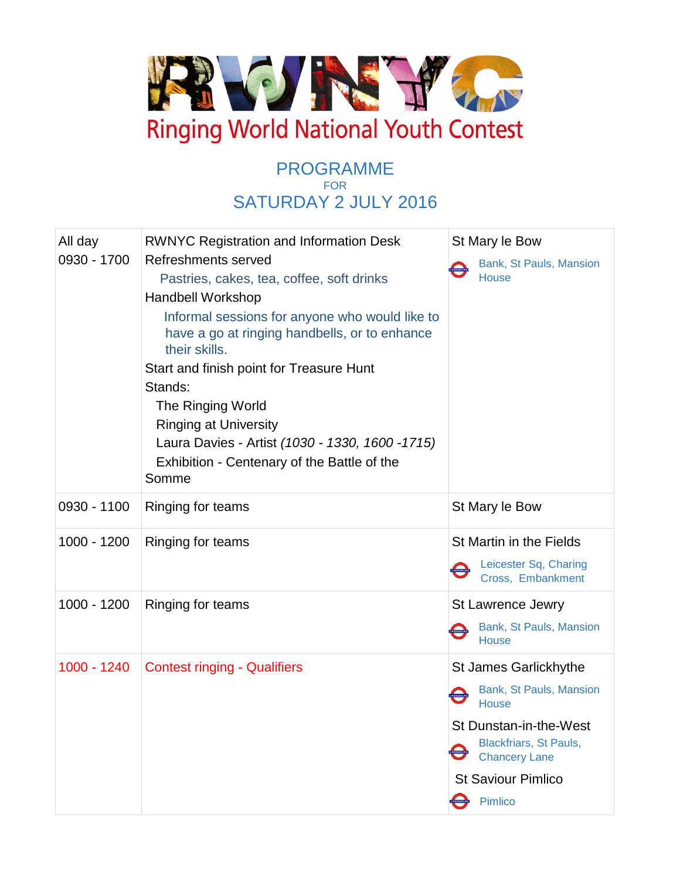

## PROGRAMME FOR SATURDAY 2 JULY 2016

| All day<br>0930 - 1700 | <b>RWNYC Registration and Information Desk</b><br>Refreshments served<br>Pastries, cakes, tea, coffee, soft drinks<br><b>Handbell Workshop</b><br>Informal sessions for anyone who would like to<br>have a go at ringing handbells, or to enhance<br>their skills.<br>Start and finish point for Treasure Hunt<br>Stands:<br>The Ringing World<br><b>Ringing at University</b><br>Laura Davies - Artist (1030 - 1330, 1600 - 1715)<br>Exhibition - Centenary of the Battle of the<br>Somme | St Mary le Bow<br>Bank, St Pauls, Mansion<br><b>House</b>                                                                                                                                   |
|------------------------|--------------------------------------------------------------------------------------------------------------------------------------------------------------------------------------------------------------------------------------------------------------------------------------------------------------------------------------------------------------------------------------------------------------------------------------------------------------------------------------------|---------------------------------------------------------------------------------------------------------------------------------------------------------------------------------------------|
| 0930 - 1100            | Ringing for teams                                                                                                                                                                                                                                                                                                                                                                                                                                                                          | St Mary le Bow                                                                                                                                                                              |
| 1000 - 1200            | Ringing for teams                                                                                                                                                                                                                                                                                                                                                                                                                                                                          | St Martin in the Fields<br>Leicester Sq, Charing<br>UNDERSTOCKS<br>Cross, Embankment                                                                                                        |
| 1000 - 1200            | Ringing for teams                                                                                                                                                                                                                                                                                                                                                                                                                                                                          | <b>St Lawrence Jewry</b><br>Bank, St Pauls, Mansion<br>House                                                                                                                                |
| 1000 - 1240            | <b>Contest ringing - Qualifiers</b>                                                                                                                                                                                                                                                                                                                                                                                                                                                        | St James Garlickhythe<br>Bank, St Pauls, Mansion<br><b>House</b><br>St Dunstan-in-the-West<br><b>Blackfriars, St Pauls,</b><br><b>Chancery Lane</b><br><b>St Saviour Pimlico</b><br>Pimlico |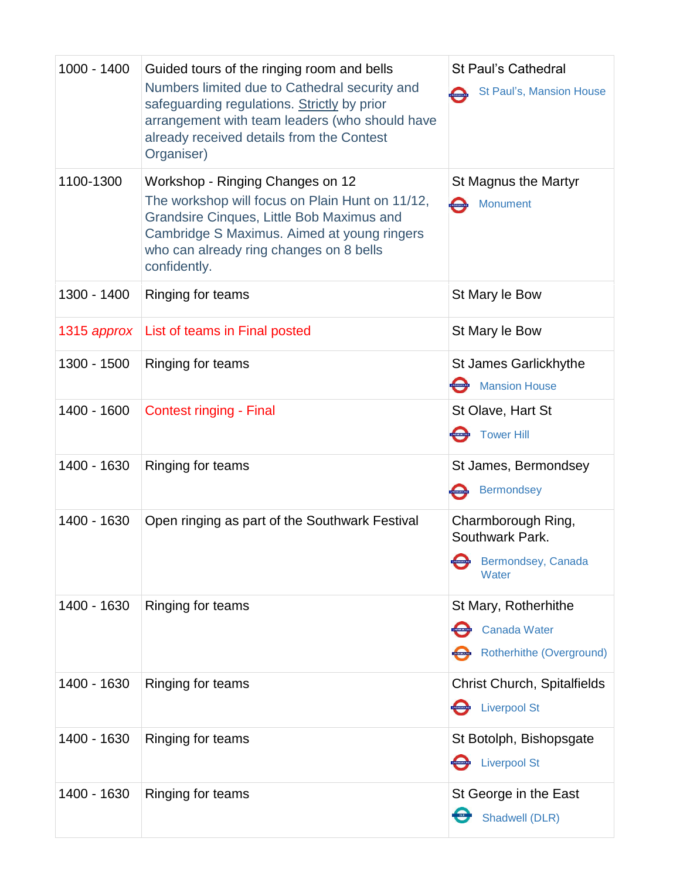| 1000 - 1400 | Guided tours of the ringing room and bells<br>Numbers limited due to Cathedral security and<br>safeguarding regulations. Strictly by prior<br>arrangement with team leaders (who should have<br>already received details from the Contest<br>Organiser) | <b>St Paul's Cathedral</b><br>St Paul's, Mansion House                  |
|-------------|---------------------------------------------------------------------------------------------------------------------------------------------------------------------------------------------------------------------------------------------------------|-------------------------------------------------------------------------|
| 1100-1300   | Workshop - Ringing Changes on 12<br>The workshop will focus on Plain Hunt on 11/12,<br>Grandsire Cinques, Little Bob Maximus and<br>Cambridge S Maximus. Aimed at young ringers<br>who can already ring changes on 8 bells<br>confidently.              | St Magnus the Martyr<br>Monument                                        |
| 1300 - 1400 | Ringing for teams                                                                                                                                                                                                                                       | St Mary le Bow                                                          |
| 1315 approx | List of teams in Final posted                                                                                                                                                                                                                           | St Mary le Bow                                                          |
| 1300 - 1500 | Ringing for teams                                                                                                                                                                                                                                       | St James Garlickhythe<br><b>Mansion House</b>                           |
| 1400 - 1600 | <b>Contest ringing - Final</b>                                                                                                                                                                                                                          | St Olave, Hart St<br><b>Tower Hill</b>                                  |
| 1400 - 1630 | Ringing for teams                                                                                                                                                                                                                                       | St James, Bermondsey<br><b>Bermondsey</b>                               |
| 1400 - 1630 | Open ringing as part of the Southwark Festival                                                                                                                                                                                                          | Charmborough Ring,<br>Southwark Park.<br>Bermondsey, Canada<br>Water    |
| 1400 - 1630 | Ringing for teams                                                                                                                                                                                                                                       | St Mary, Rotherhithe<br><b>Canada Water</b><br>Rotherhithe (Overground) |
| 1400 - 1630 | Ringing for teams                                                                                                                                                                                                                                       | <b>Christ Church, Spitalfields</b><br><b>Liverpool St</b>               |
| 1400 - 1630 | Ringing for teams                                                                                                                                                                                                                                       | St Botolph, Bishopsgate<br><b>Liverpool St</b>                          |
| 1400 - 1630 | Ringing for teams                                                                                                                                                                                                                                       | St George in the East<br>Shadwell (DLR)                                 |